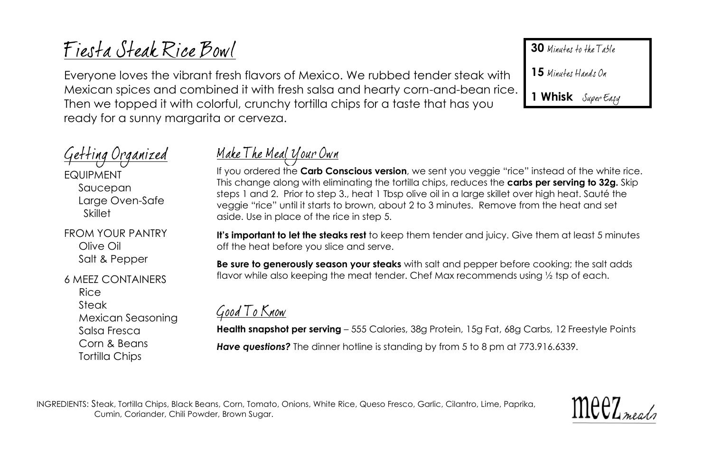# Fiesta Steak Rice Bowl

Everyone loves the vibrant fresh flavors of Mexico. We rubbed tender steak with Mexican spices and combined it with fresh salsa and hearty corn-and-bean rice. Then we topped it with colorful, crunchy tortilla chips for a taste that has you ready for a sunny margarita or cerveza.

## <u>Getting Organized</u>

EQUIPMENT Saucepan Large Oven-Safe Skillet

FROM YOUR PANTRY Olive Oil Salt & Pepper

#### 6 MEEZ CONTAINERS

Rice Steak Mexican Seasoning Salsa Fresca Corn & Beans Tortilla Chips

### <u> Make The Meal Your Own</u>

If you ordered the **Carb Conscious version**, we sent you veggie "rice" instead of the white rice. This change along with eliminating the tortilla chips, reduces the **carbs per serving to 32g.** Skip steps 1 and 2. Prior to step 3., heat 1 Tbsp olive oil in a large skillet over high heat. Sauté the veggie "rice" until it starts to brown, about 2 to 3 minutes. Remove from the heat and set aside. Use in place of the rice in step 5.

**It's important to let the steaks rest** to keep them tender and juicy. Give them at least 5 minutes off the heat before you slice and serve.

**Be sure to generously season your steaks** with salt and pepper before cooking; the salt adds flavor while also keeping the meat tender. Chef Max recommends using 1/2 tsp of each.

### Good To Know

**Health snapshot per serving** – 555 Calories, 38g Protein, 15g Fat, 68g Carbs, 12 Freestyle Points **Have questions?** The dinner hotline is standing by from 5 to 8 pm at 773.916.6339.

INGREDIENTS: Steak, Tortilla Chips, Black Beans, Corn, Tomato, Onions, White Rice, Queso Fresco, Garlic, Cilantro, Lime, Paprika, Cumin, Coriander, Chili Powder, Brown Sugar.



**30** Minutes to the Table

15 Minutes Hands On

**1 Whisk**